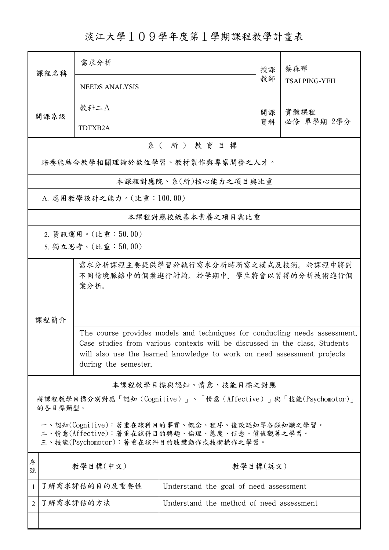淡江大學109學年度第1學期課程教學計畫表

| 課程名稱                                                                                                                                   | 需求分析                                                                                                                                                                                                                                                         |                                          | 授課 | 蔡森暉                  |  |  |  |
|----------------------------------------------------------------------------------------------------------------------------------------|--------------------------------------------------------------------------------------------------------------------------------------------------------------------------------------------------------------------------------------------------------------|------------------------------------------|----|----------------------|--|--|--|
|                                                                                                                                        | <b>NEEDS ANALYSIS</b>                                                                                                                                                                                                                                        |                                          |    | <b>TSAI PING-YEH</b> |  |  |  |
| 開課系級                                                                                                                                   | 教科二A                                                                                                                                                                                                                                                         |                                          | 開課 | 實體課程                 |  |  |  |
|                                                                                                                                        | TDTXB2A                                                                                                                                                                                                                                                      |                                          |    | 必修 單學期 2學分           |  |  |  |
| 系(所)教育目標                                                                                                                               |                                                                                                                                                                                                                                                              |                                          |    |                      |  |  |  |
| 培養能結合教學相關理論於數位學習、教材製作與專案開發之人才。                                                                                                         |                                                                                                                                                                                                                                                              |                                          |    |                      |  |  |  |
| 本課程對應院、系(所)核心能力之項目與比重                                                                                                                  |                                                                                                                                                                                                                                                              |                                          |    |                      |  |  |  |
| A. 應用教學設計之能力。(比重:100.00)                                                                                                               |                                                                                                                                                                                                                                                              |                                          |    |                      |  |  |  |
|                                                                                                                                        |                                                                                                                                                                                                                                                              | 本課程對應校級基本素養之項目與比重                        |    |                      |  |  |  |
|                                                                                                                                        | 2. 資訊運用。(比重:50.00)                                                                                                                                                                                                                                           |                                          |    |                      |  |  |  |
|                                                                                                                                        | 5. 獨立思考。(比重:50.00)                                                                                                                                                                                                                                           |                                          |    |                      |  |  |  |
|                                                                                                                                        | 需求分析課程主要提供學習於執行需求分析時所需之模式及技術。於課程中將對<br>不同情境脈絡中的個案進行討論。於學期中,學生將會以習得的分析技術進行個<br>案分析。<br>課程簡介                                                                                                                                                                   |                                          |    |                      |  |  |  |
|                                                                                                                                        |                                                                                                                                                                                                                                                              |                                          |    |                      |  |  |  |
|                                                                                                                                        | The course provides models and techniques for conducting needs assessment.<br>Case studies from various contexts will be discussed in the class. Students<br>will also use the learned knowledge to work on need assessment projects<br>during the semester. |                                          |    |                      |  |  |  |
| 本課程教學目標與認知、情意、技能目標之對應                                                                                                                  |                                                                                                                                                                                                                                                              |                                          |    |                      |  |  |  |
| 將課程教學目標分別對應「認知 (Cognitive)」、「情意 (Affective)」與「技能(Psychomotor)」<br>的各目標類型。                                                              |                                                                                                                                                                                                                                                              |                                          |    |                      |  |  |  |
| 一、認知(Cognitive):著重在該科目的事實、概念、程序、後設認知等各類知識之學習。<br>二、情意(Affective):著重在該科目的興趣、倫理、態度、信念、價值觀等之學習。<br>三、技能(Psychomotor):著重在該科目的肢體動作或技術操作之學習。 |                                                                                                                                                                                                                                                              |                                          |    |                      |  |  |  |
| 序<br>號                                                                                                                                 | 教學目標(中文)                                                                                                                                                                                                                                                     | 教學目標(英文)                                 |    |                      |  |  |  |
| $\mathbf{1}$                                                                                                                           | 了解需求評估的目的及重要性                                                                                                                                                                                                                                                | Understand the goal of need assessment   |    |                      |  |  |  |
| $\overline{2}$                                                                                                                         | 了解需求評估的方法                                                                                                                                                                                                                                                    | Understand the method of need assessment |    |                      |  |  |  |
|                                                                                                                                        |                                                                                                                                                                                                                                                              |                                          |    |                      |  |  |  |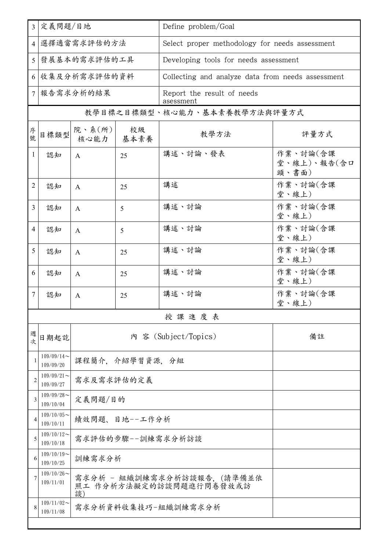| $\overline{3}$ | 定義問題/目地                      |                                                             |               | Define problem/Goal                               |                                  |  |  |
|----------------|------------------------------|-------------------------------------------------------------|---------------|---------------------------------------------------|----------------------------------|--|--|
|                | 4 選擇適當需求評估的方法                |                                                             |               | Select proper methodology for needs assessment    |                                  |  |  |
| 5 <sup>1</sup> | 發展基本的需求評估的工具                 |                                                             |               | Developing tools for needs assessment             |                                  |  |  |
|                | 6 收集及分析需求評估的資料               |                                                             |               | Collecting and analyze data from needs assessment |                                  |  |  |
|                | 7 報告需求分析的結果                  |                                                             |               | Report the result of needs<br>asessment           |                                  |  |  |
|                | 教學目標之目標類型、核心能力、基本素養教學方法與評量方式 |                                                             |               |                                                   |                                  |  |  |
| 序號             | 目標類型                         | 院、系 $(\kappa)$  <br>核心能力                                    | 校級<br>│ 基本素養  | 教學方法                                              | 評量方式                             |  |  |
| 1              | 認知                           | $\mathsf{A}$                                                | 25            | 講述、討論、發表                                          | 作業、討論(含課<br>堂、線上)、報告(含口<br>頭、書面) |  |  |
| 2              | 認知                           | $\mathsf{A}$                                                | 25            | 講述                                                | 作業、討論(含課<br>堂、線上)                |  |  |
| $\overline{3}$ | 認知                           | A                                                           | 5             | 講述、討論                                             | 作業、討論(含課<br>堂、線上)                |  |  |
| 4              | 認知                           | A                                                           | 5             | 講述、討論                                             | 作業、討論(含課<br>堂、線上)                |  |  |
| 5              | 認知                           | A                                                           | 25            | 講述、討論                                             | 作業、討論(含課<br>堂、線上)                |  |  |
| 6              | 認知                           | $\mathsf{A}$                                                | 25            | 講述、討論                                             | 作業、討論(含課<br>堂、線上)                |  |  |
| 7              | 認知                           | A                                                           | 25            | 講述、討論                                             | 作業、討論(含課<br>堂、線上)                |  |  |
|                |                              |                                                             |               | 授課進度表                                             |                                  |  |  |
| 週次             | 日期起訖                         |                                                             |               | 內 容 (Subject/Topics)                              | 備註                               |  |  |
| 1              | $109/09/14$ ~<br>109/09/20   | 課程簡介,介紹學習資源,分組                                              |               |                                                   |                                  |  |  |
| $\overline{c}$ | $109/09/21$ ~<br>109/09/27   | 需求及需求評估的定義                                                  |               |                                                   |                                  |  |  |
| 3              | $109/09/28$ ~<br>109/10/04   | 定義問題/目的                                                     |               |                                                   |                                  |  |  |
| 4              | $109/10/05$ ~<br>109/10/11   |                                                             | 績效問題、目地--工作分析 |                                                   |                                  |  |  |
| 5              | $109/10/12$ ~<br>109/10/18   | 需求評估的步驟--訓練需求分析訪談                                           |               |                                                   |                                  |  |  |
| 6              | $109/10/19$ ~<br>109/10/25   | 訓練需求分析                                                      |               |                                                   |                                  |  |  |
| 7              | $109/10/26$ ~<br>109/11/01   | 需求分析 - 組織訓練需求分析訪談報告,(請準備並依<br>照工 作分析方法擬定的訪談問題進行問卷發放或訪<br>談) |               |                                                   |                                  |  |  |
| 8              | $109/11/02$ ~<br>109/11/08   | 需求分析資料收集技巧-組織訓練需求分析                                         |               |                                                   |                                  |  |  |